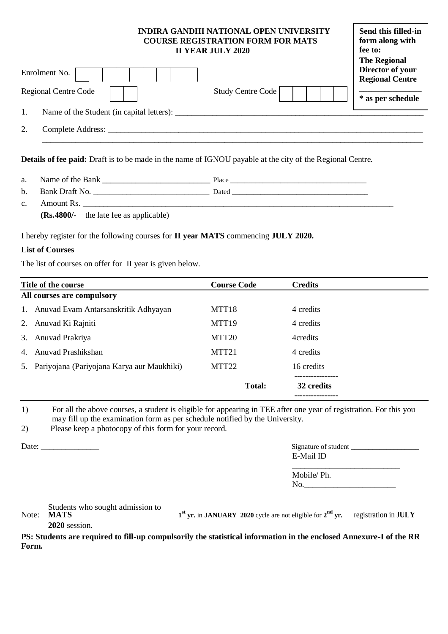## **INDIRA GANDHI NATIONAL OPEN UNIVERSITY COURSE REGISTRATION FORM FOR MATS II YEAR JULY 2020**

| Enrolment No.                             |                   | The Regional<br>Director of your<br><b>Regional Centre</b> |
|-------------------------------------------|-------------------|------------------------------------------------------------|
| <b>Regional Centre Code</b>               | Study Centre Code | * as per schedule                                          |
| Name of the Student (in capital letters): |                   |                                                            |
| Complete Address:                         |                   |                                                            |
|                                           |                   |                                                            |

**Details of fee paid:** Draft is to be made in the name of IGNOU payable at the city of the Regional Centre.

| $\Omega$<br>a. | .ne<br>N<br>'ne<br>м<br> | $\overline{\phantom{a}}$<br>$\sim$ .<br>. iact |
|----------------|--------------------------|------------------------------------------------|
|----------------|--------------------------|------------------------------------------------|

b. Bank Draft No. \_\_\_\_\_\_\_\_\_\_\_\_\_\_\_\_\_\_\_\_\_\_\_\_\_\_\_\_ Dated \_\_\_\_\_\_\_\_\_\_\_\_\_\_\_\_\_\_\_\_\_\_\_\_\_\_\_\_\_\_\_\_\_\_\_\_\_\_ c. Amount Rs. \_\_\_\_\_\_\_\_\_\_\_\_\_\_\_\_\_\_\_\_\_\_\_\_\_\_\_\_\_\_\_\_\_\_\_\_\_\_\_\_\_\_\_\_\_\_\_\_\_\_\_\_\_\_\_\_\_\_\_\_\_\_\_\_\_\_\_\_\_\_\_\_\_\_\_ **(Rs.4800/-** + the late fee as applicable)

I hereby register for the following courses for **II year MATS** commencing **JULY 2020.**

## **List of Courses**

The list of courses on offer for II year is given below.

|    | Title of the course                        | <b>Course Code</b> | <b>Credits</b> |
|----|--------------------------------------------|--------------------|----------------|
|    | All courses are compulsory                 |                    |                |
|    | 1. Anuvad Evam Antarsanskritik Adhyayan    | MTT <sub>18</sub>  | 4 credits      |
| 2. | Anuvad Ki Rajniti                          | MTT <sub>19</sub>  | 4 credits      |
| 3. | Anuvad Prakriya                            | MTT <sub>20</sub>  | 4credits       |
| 4. | Anuvad Prashikshan                         | MTT <sub>21</sub>  | 4 credits      |
| 5. | Pariyojana (Pariyojana Karya aur Maukhiki) | MTT <sub>22</sub>  | 16 credits     |
|    |                                            | Total:             | 32 credits     |

1) For all the above courses, a student is eligible for appearing in TEE after one year of registration. For this you may fill up the examination form as per schedule notified by the University.

2) Please keep a photocopy of this form for your record.

|--|

| Date: | Signature of student |
|-------|----------------------|
|       | E-Mail ID            |
|       |                      |

**Send this filled-in form along with** 

**fee to:**

| Mobile/Ph. |  |
|------------|--|
| No.        |  |

Students who sought admission to

Note: **MATS 1 st yr.** in **JANUARY 2020** cycle are not eligible for **2 nd yr.** registration in J**ULY 2020** session.

**PS: Students are required to fill-up compulsorily the statistical information in the enclosed Annexure-I of the RR Form.**